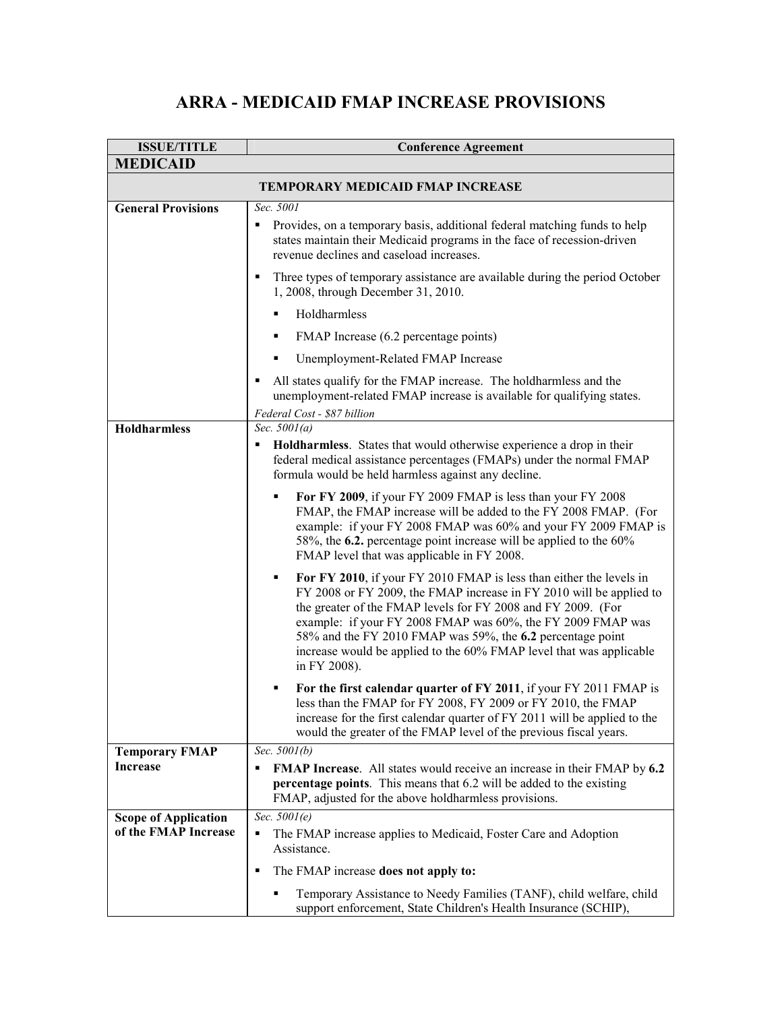## **ARRA - MEDICAID FMAP INCREASE PROVISIONS**

| <b>ISSUE/TITLE</b>                                  | <b>Conference Agreement</b>                                                                                                                                                                                                                                                                                                                                                                                                         |  |
|-----------------------------------------------------|-------------------------------------------------------------------------------------------------------------------------------------------------------------------------------------------------------------------------------------------------------------------------------------------------------------------------------------------------------------------------------------------------------------------------------------|--|
| <b>MEDICAID</b>                                     |                                                                                                                                                                                                                                                                                                                                                                                                                                     |  |
| <b>TEMPORARY MEDICAID FMAP INCREASE</b>             |                                                                                                                                                                                                                                                                                                                                                                                                                                     |  |
| <b>General Provisions</b>                           | Sec. 5001<br>Provides, on a temporary basis, additional federal matching funds to help<br>states maintain their Medicaid programs in the face of recession-driven<br>revenue declines and caseload increases.                                                                                                                                                                                                                       |  |
|                                                     | Three types of temporary assistance are available during the period October<br>٠<br>1, 2008, through December 31, 2010.<br>Holdharmless<br>٠<br>FMAP Increase (6.2 percentage points)<br>٠                                                                                                                                                                                                                                          |  |
|                                                     | Unemployment-Related FMAP Increase                                                                                                                                                                                                                                                                                                                                                                                                  |  |
|                                                     | All states qualify for the FMAP increase. The holdharmless and the<br>٠<br>unemployment-related FMAP increase is available for qualifying states.<br>Federal Cost - \$87 billion                                                                                                                                                                                                                                                    |  |
| <b>Holdharmless</b>                                 | Sec. $5001(a)$<br>Holdharmless. States that would otherwise experience a drop in their<br>٠<br>federal medical assistance percentages (FMAPs) under the normal FMAP<br>formula would be held harmless against any decline.                                                                                                                                                                                                          |  |
|                                                     | For FY 2009, if your FY 2009 FMAP is less than your FY 2008<br>٠<br>FMAP, the FMAP increase will be added to the FY 2008 FMAP. (For<br>example: if your FY 2008 FMAP was 60% and your FY 2009 FMAP is<br>58%, the 6.2. percentage point increase will be applied to the 60%<br>FMAP level that was applicable in FY 2008.                                                                                                           |  |
|                                                     | For FY 2010, if your FY 2010 FMAP is less than either the levels in<br>٠<br>FY 2008 or FY 2009, the FMAP increase in FY 2010 will be applied to<br>the greater of the FMAP levels for FY 2008 and FY 2009. (For<br>example: if your FY 2008 FMAP was 60%, the FY 2009 FMAP was<br>58% and the FY 2010 FMAP was 59%, the 6.2 percentage point<br>increase would be applied to the 60% FMAP level that was applicable<br>in FY 2008). |  |
|                                                     | For the first calendar quarter of FY 2011, if your FY 2011 FMAP is<br>٠<br>less than the FMAP for FY 2008, FY 2009 or FY 2010, the FMAP<br>increase for the first calendar quarter of FY 2011 will be applied to the<br>would the greater of the FMAP level of the previous fiscal years.                                                                                                                                           |  |
| <b>Temporary FMAP</b>                               | Sec. 5001(b)                                                                                                                                                                                                                                                                                                                                                                                                                        |  |
| <b>Increase</b>                                     | <b>FMAP Increase.</b> All states would receive an increase in their FMAP by 6.2<br>percentage points. This means that 6.2 will be added to the existing<br>FMAP, adjusted for the above holdharmless provisions.                                                                                                                                                                                                                    |  |
| <b>Scope of Application</b><br>of the FMAP Increase | Sec. $5001(e)$<br>The FMAP increase applies to Medicaid, Foster Care and Adoption<br>٠<br>Assistance.                                                                                                                                                                                                                                                                                                                               |  |
|                                                     | The FMAP increase does not apply to:<br>٠                                                                                                                                                                                                                                                                                                                                                                                           |  |
|                                                     | Temporary Assistance to Needy Families (TANF), child welfare, child<br>support enforcement, State Children's Health Insurance (SCHIP),                                                                                                                                                                                                                                                                                              |  |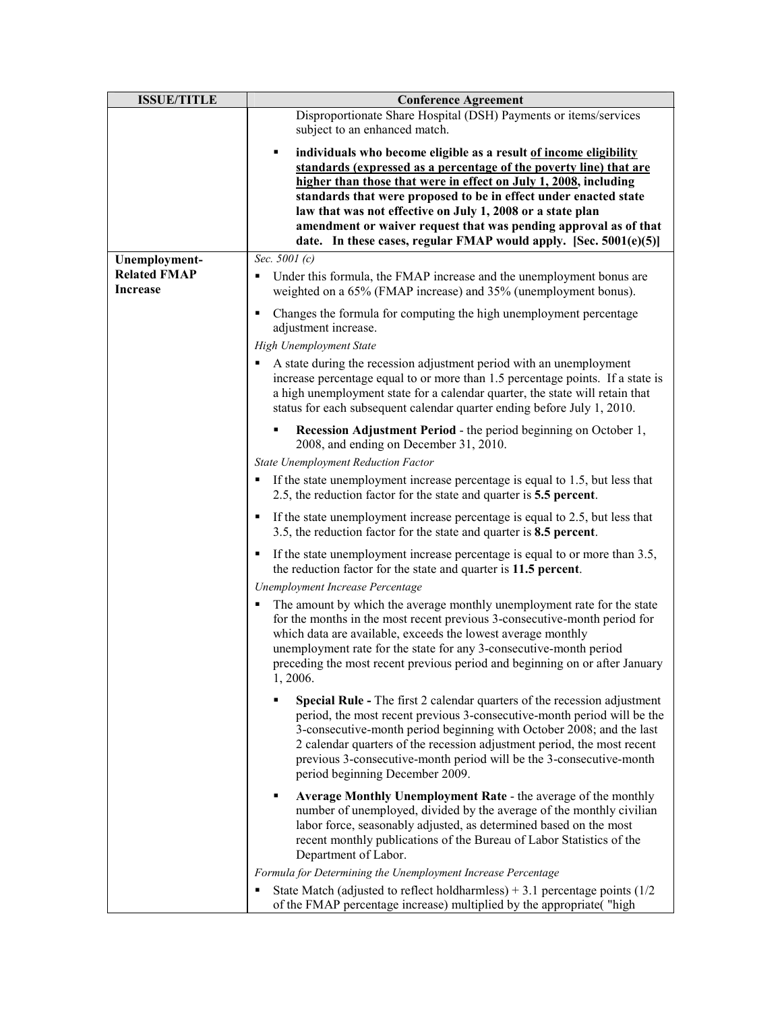| <b>ISSUE/TITLE</b>  | <b>Conference Agreement</b>                                                                                                                                                                                                                                                                                                                                                                                                  |
|---------------------|------------------------------------------------------------------------------------------------------------------------------------------------------------------------------------------------------------------------------------------------------------------------------------------------------------------------------------------------------------------------------------------------------------------------------|
|                     | Disproportionate Share Hospital (DSH) Payments or items/services<br>subject to an enhanced match.                                                                                                                                                                                                                                                                                                                            |
|                     |                                                                                                                                                                                                                                                                                                                                                                                                                              |
|                     | individuals who become eligible as a result of income eligibility<br>٠                                                                                                                                                                                                                                                                                                                                                       |
|                     | standards (expressed as a percentage of the poverty line) that are<br>higher than those that were in effect on July 1, 2008, including                                                                                                                                                                                                                                                                                       |
|                     | standards that were proposed to be in effect under enacted state                                                                                                                                                                                                                                                                                                                                                             |
|                     | law that was not effective on July 1, 2008 or a state plan                                                                                                                                                                                                                                                                                                                                                                   |
|                     | amendment or waiver request that was pending approval as of that                                                                                                                                                                                                                                                                                                                                                             |
|                     | date. In these cases, regular FMAP would apply. [Sec. $5001(e)(5)$ ]                                                                                                                                                                                                                                                                                                                                                         |
| Unemployment-       | Sec. 5001 (c)                                                                                                                                                                                                                                                                                                                                                                                                                |
| <b>Related FMAP</b> | Under this formula, the FMAP increase and the unemployment bonus are                                                                                                                                                                                                                                                                                                                                                         |
| <b>Increase</b>     | weighted on a 65% (FMAP increase) and 35% (unemployment bonus).                                                                                                                                                                                                                                                                                                                                                              |
|                     | Changes the formula for computing the high unemployment percentage<br>adjustment increase.                                                                                                                                                                                                                                                                                                                                   |
|                     | <b>High Unemployment State</b>                                                                                                                                                                                                                                                                                                                                                                                               |
|                     | A state during the recession adjustment period with an unemployment<br>increase percentage equal to or more than 1.5 percentage points. If a state is<br>a high unemployment state for a calendar quarter, the state will retain that<br>status for each subsequent calendar quarter ending before July 1, 2010.                                                                                                             |
|                     | <b>Recession Adjustment Period - the period beginning on October 1,</b><br>٠<br>2008, and ending on December 31, 2010.                                                                                                                                                                                                                                                                                                       |
|                     | <b>State Unemployment Reduction Factor</b>                                                                                                                                                                                                                                                                                                                                                                                   |
|                     | If the state unemployment increase percentage is equal to 1.5, but less that<br>٠<br>2.5, the reduction factor for the state and quarter is 5.5 percent.                                                                                                                                                                                                                                                                     |
|                     | If the state unemployment increase percentage is equal to 2.5, but less that<br>3.5, the reduction factor for the state and quarter is 8.5 percent.                                                                                                                                                                                                                                                                          |
|                     | If the state unemployment increase percentage is equal to or more than 3.5,<br>the reduction factor for the state and quarter is 11.5 percent.                                                                                                                                                                                                                                                                               |
|                     | Unemployment Increase Percentage                                                                                                                                                                                                                                                                                                                                                                                             |
|                     | The amount by which the average monthly unemployment rate for the state<br>for the months in the most recent previous 3-consecutive-month period for<br>which data are available, exceeds the lowest average monthly<br>unemployment rate for the state for any 3-consecutive-month period<br>preceding the most recent previous period and beginning on or after January<br>1, 2006.                                        |
|                     | ٠<br><b>Special Rule -</b> The first 2 calendar quarters of the recession adjustment<br>period, the most recent previous 3-consecutive-month period will be the<br>3-consecutive-month period beginning with October 2008; and the last<br>2 calendar quarters of the recession adjustment period, the most recent<br>previous 3-consecutive-month period will be the 3-consecutive-month<br>period beginning December 2009. |
|                     | Average Monthly Unemployment Rate - the average of the monthly<br>٠<br>number of unemployed, divided by the average of the monthly civilian<br>labor force, seasonably adjusted, as determined based on the most<br>recent monthly publications of the Bureau of Labor Statistics of the<br>Department of Labor.                                                                                                             |
|                     | Formula for Determining the Unemployment Increase Percentage                                                                                                                                                                                                                                                                                                                                                                 |
|                     | State Match (adjusted to reflect holdharmless) $+3.1$ percentage points (1/2)<br>of the FMAP percentage increase) multiplied by the appropriate("high                                                                                                                                                                                                                                                                        |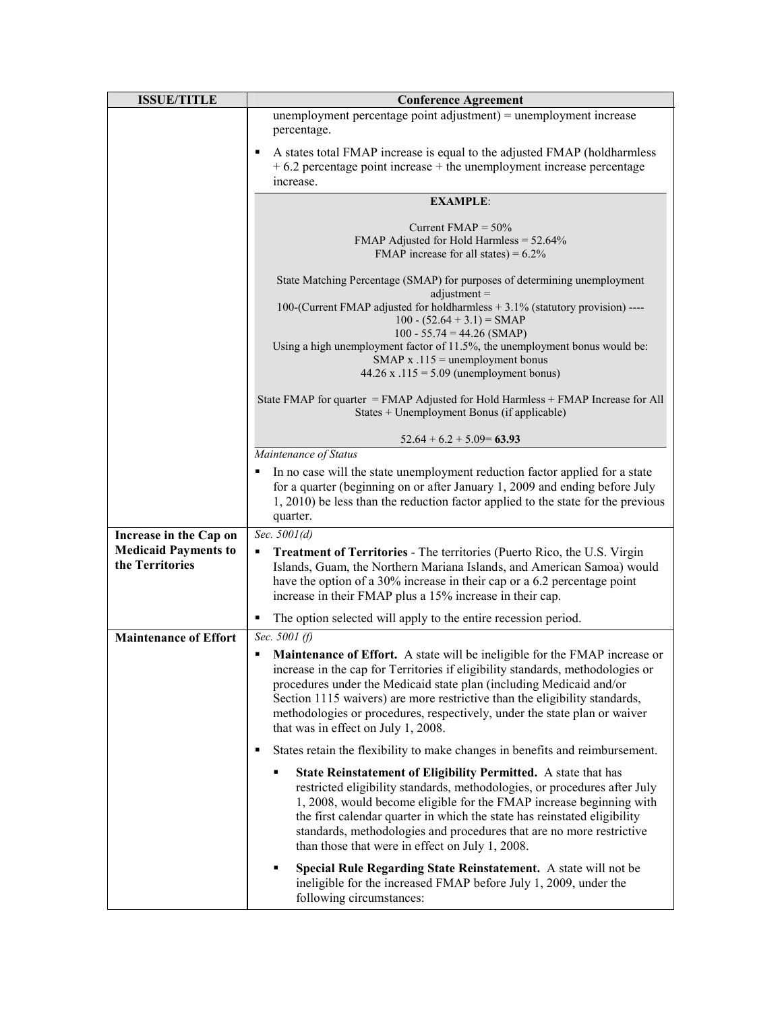| <b>ISSUE/TITLE</b>                             | <b>Conference Agreement</b>                                                                                                                                                                                                                                                                                                                                                                                                                       |
|------------------------------------------------|---------------------------------------------------------------------------------------------------------------------------------------------------------------------------------------------------------------------------------------------------------------------------------------------------------------------------------------------------------------------------------------------------------------------------------------------------|
|                                                | unemployment percentage point adjustment) = unemployment increase<br>percentage.                                                                                                                                                                                                                                                                                                                                                                  |
|                                                | A states total FMAP increase is equal to the adjusted FMAP (holdharmless<br>٠<br>$+6.2$ percentage point increase $+$ the unemployment increase percentage<br>increase.                                                                                                                                                                                                                                                                           |
|                                                | <b>EXAMPLE:</b>                                                                                                                                                                                                                                                                                                                                                                                                                                   |
|                                                | Current $FMAP = 50\%$<br>FMAP Adjusted for Hold Harmless = $52.64\%$<br>FMAP increase for all states) = $6.2\%$                                                                                                                                                                                                                                                                                                                                   |
|                                                | State Matching Percentage (SMAP) for purposes of determining unemployment                                                                                                                                                                                                                                                                                                                                                                         |
|                                                | $adjustment =$<br>100-(Current FMAP adjusted for holdharmless + 3.1% (statutory provision) ----<br>$100 - (52.64 + 3.1) = \text{SMAP}$<br>$100 - 55.74 = 44.26$ (SMAP)                                                                                                                                                                                                                                                                            |
|                                                | Using a high unemployment factor of 11.5%, the unemployment bonus would be:<br>SMAP $x .115$ = unemployment bonus<br>44.26 x .115 = $5.09$ (unemployment bonus)                                                                                                                                                                                                                                                                                   |
|                                                | State FMAP for quarter = FMAP Adjusted for Hold Harmless + FMAP Increase for All<br>States + Unemployment Bonus (if applicable)                                                                                                                                                                                                                                                                                                                   |
|                                                | $52.64 + 6.2 + 5.09 = 63.93$                                                                                                                                                                                                                                                                                                                                                                                                                      |
|                                                | Maintenance of Status                                                                                                                                                                                                                                                                                                                                                                                                                             |
|                                                | In no case will the state unemployment reduction factor applied for a state<br>for a quarter (beginning on or after January 1, 2009 and ending before July<br>1, 2010) be less than the reduction factor applied to the state for the previous<br>quarter.                                                                                                                                                                                        |
| Increase in the Cap on                         | Sec. 5001(d)                                                                                                                                                                                                                                                                                                                                                                                                                                      |
| <b>Medicaid Payments to</b><br>the Territories | <b>Treatment of Territories - The territories (Puerto Rico, the U.S. Virgin</b><br>Islands, Guam, the Northern Mariana Islands, and American Samoa) would<br>have the option of a 30% increase in their cap or a 6.2 percentage point<br>increase in their FMAP plus a 15% increase in their cap.                                                                                                                                                 |
|                                                | The option selected will apply to the entire recession period.                                                                                                                                                                                                                                                                                                                                                                                    |
| <b>Maintenance of Effort</b>                   | Sec. 5001 (f)                                                                                                                                                                                                                                                                                                                                                                                                                                     |
|                                                | <b>Maintenance of Effort.</b> A state will be ineligible for the FMAP increase or<br>٠<br>increase in the cap for Territories if eligibility standards, methodologies or<br>procedures under the Medicaid state plan (including Medicaid and/or<br>Section 1115 waivers) are more restrictive than the eligibility standards,<br>methodologies or procedures, respectively, under the state plan or waiver<br>that was in effect on July 1, 2008. |
|                                                | States retain the flexibility to make changes in benefits and reimbursement.<br>٠                                                                                                                                                                                                                                                                                                                                                                 |
|                                                | State Reinstatement of Eligibility Permitted. A state that has<br>restricted eligibility standards, methodologies, or procedures after July<br>1, 2008, would become eligible for the FMAP increase beginning with<br>the first calendar quarter in which the state has reinstated eligibility<br>standards, methodologies and procedures that are no more restrictive<br>than those that were in effect on July 1, 2008.                         |
|                                                | Special Rule Regarding State Reinstatement. A state will not be<br>٠<br>ineligible for the increased FMAP before July 1, 2009, under the<br>following circumstances:                                                                                                                                                                                                                                                                              |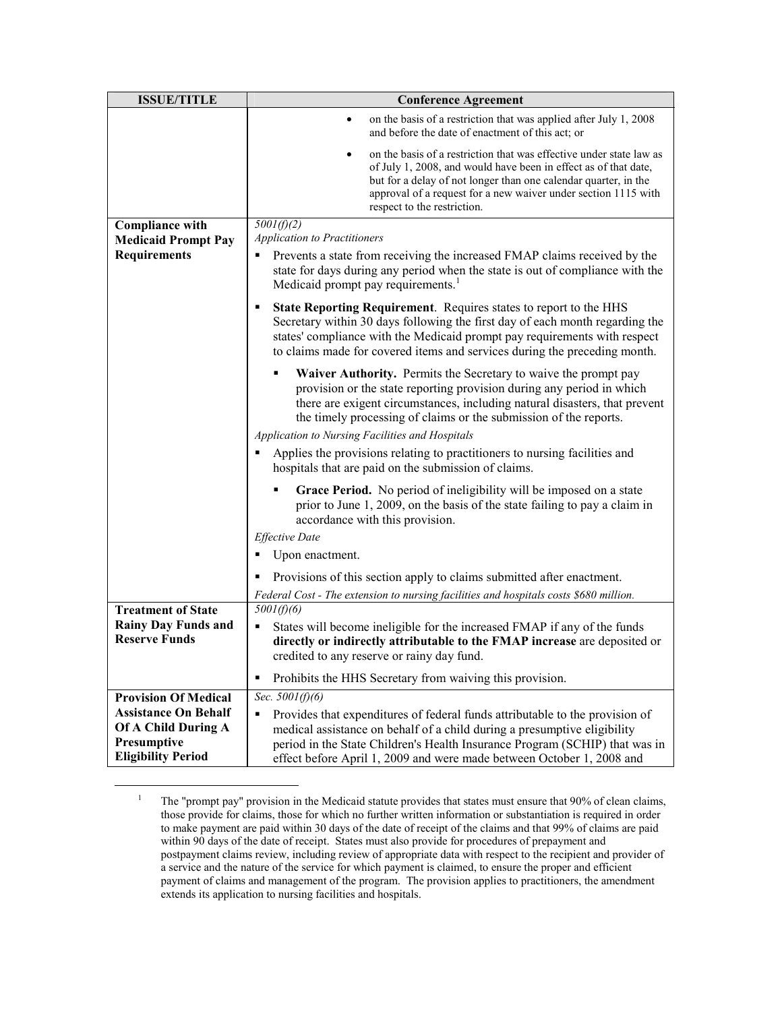<span id="page-3-0"></span>

| <b>ISSUE/TITLE</b>                                                | <b>Conference Agreement</b>                                                                                                                                                                                                                                                                                                                    |
|-------------------------------------------------------------------|------------------------------------------------------------------------------------------------------------------------------------------------------------------------------------------------------------------------------------------------------------------------------------------------------------------------------------------------|
|                                                                   | on the basis of a restriction that was applied after July 1, 2008<br>٠<br>and before the date of enactment of this act; or                                                                                                                                                                                                                     |
|                                                                   | on the basis of a restriction that was effective under state law as<br>$\bullet$<br>of July 1, 2008, and would have been in effect as of that date,<br>but for a delay of not longer than one calendar quarter, in the<br>approval of a request for a new waiver under section 1115 with<br>respect to the restriction.                        |
| <b>Compliance with</b>                                            | 5001(f)(2)                                                                                                                                                                                                                                                                                                                                     |
| <b>Medicaid Prompt Pay</b>                                        | <b>Application to Practitioners</b>                                                                                                                                                                                                                                                                                                            |
| <b>Requirements</b>                                               | Prevents a state from receiving the increased FMAP claims received by the<br>٠<br>state for days during any period when the state is out of compliance with the<br>Medicaid prompt pay requirements. <sup>1</sup>                                                                                                                              |
|                                                                   | State Reporting Requirement. Requires states to report to the HHS<br>٠<br>Secretary within 30 days following the first day of each month regarding the<br>states' compliance with the Medicaid prompt pay requirements with respect<br>to claims made for covered items and services during the preceding month.                               |
|                                                                   | Waiver Authority. Permits the Secretary to waive the prompt pay<br>provision or the state reporting provision during any period in which<br>there are exigent circumstances, including natural disasters, that prevent<br>the timely processing of claims or the submission of the reports.<br>Application to Nursing Facilities and Hospitals |
|                                                                   | Applies the provisions relating to practitioners to nursing facilities and<br>hospitals that are paid on the submission of claims.                                                                                                                                                                                                             |
|                                                                   | Grace Period. No period of ineligibility will be imposed on a state<br>prior to June 1, 2009, on the basis of the state failing to pay a claim in<br>accordance with this provision.                                                                                                                                                           |
|                                                                   | <b>Effective Date</b>                                                                                                                                                                                                                                                                                                                          |
|                                                                   | Upon enactment.<br>٠                                                                                                                                                                                                                                                                                                                           |
|                                                                   | Provisions of this section apply to claims submitted after enactment.                                                                                                                                                                                                                                                                          |
|                                                                   | Federal Cost - The extension to nursing facilities and hospitals costs \$680 million.                                                                                                                                                                                                                                                          |
| <b>Treatment of State</b>                                         | 5001(f)(6)                                                                                                                                                                                                                                                                                                                                     |
| <b>Rainy Day Funds and</b><br><b>Reserve Funds</b>                | States will become ineligible for the increased FMAP if any of the funds<br>٠<br>directly or indirectly attributable to the FMAP increase are deposited or                                                                                                                                                                                     |
|                                                                   | credited to any reserve or rainy day fund.                                                                                                                                                                                                                                                                                                     |
|                                                                   | Prohibits the HHS Secretary from waiving this provision.<br>٠                                                                                                                                                                                                                                                                                  |
| <b>Provision Of Medical</b>                                       | Sec. $5001(f)(6)$                                                                                                                                                                                                                                                                                                                              |
| <b>Assistance On Behalf</b><br>Of A Child During A<br>Presumptive | Provides that expenditures of federal funds attributable to the provision of<br>٠<br>medical assistance on behalf of a child during a presumptive eligibility<br>period in the State Children's Health Insurance Program (SCHIP) that was in                                                                                                   |
| <b>Eligibility Period</b>                                         | effect before April 1, 2009 and were made between October 1, 2008 and                                                                                                                                                                                                                                                                          |

<sup>1</sup> The "prompt pay" provision in the Medicaid statute provides that states must ensure that 90% of clean claims, those provide for claims, those for which no further written information or substantiation is required in order to make payment are paid within 30 days of the date of receipt of the claims and that 99% of claims are paid within 90 days of the date of receipt. States must also provide for procedures of prepayment and postpayment claims review, including review of appropriate data with respect to the recipient and provider of a service and the nature of the service for which payment is claimed, to ensure the proper and efficient payment of claims and management of the program. The provision applies to practitioners, the amendment extends its application to nursing facilities and hospitals.

 $\overline{a}$